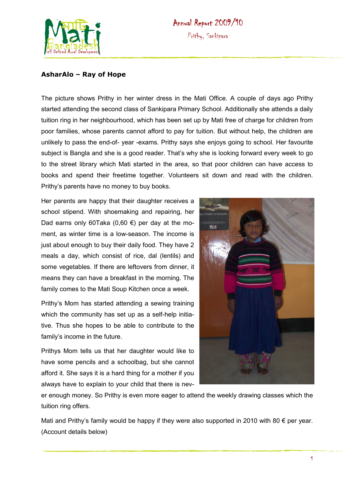

## **Annual Report 2009/10** Prithy, Sankipara

## **AsharAlo – Ray of Hope**

The picture shows Prithy in her winter dress in the Mati Office. A couple of days ago Prithy started attending the second class of Sankipara Primary School. Additionally she attends a daily tuition ring in her neighbourhood, which has been set up by Mati free of charge for children from poor families, whose parents cannot afford to pay for tuition. But without help, the children are unlikely to pass the end-of- year -exams. Prithy says she enjoys going to school. Her favourite subject is Bangla and she is a good reader. That's why she is looking forward every week to go to the street library which Mati started in the area, so that poor children can have access to books and spend their freetime together. Volunteers sit down and read with the children. Prithy's parents have no money to buy books.

Her parents are happy that their daughter receives a school stipend. With shoemaking and repairing, her Dad earns only 60Taka (0,60 €) per day at the moment, as winter time is a low-season. The income is just about enough to buy their daily food. They have 2 meals a day, which consist of rice, dal (lentils) and some vegetables. If there are leftovers from dinner, it means they can have a breakfast in the morning. The family comes to the Mati Soup Kitchen once a week.

Prithy's Mom has started attending a sewing training which the community has set up as a self-help initiative. Thus she hopes to be able to contribute to the family's income in the future.

Prithys Mom tells us that her daughter would like to have some pencils and a schoolbag, but she cannot afford it. She says it is a hard thing for a mother if you always have to explain to your child that there is nev-



er enough money. So Prithy is even more eager to attend the weekly drawing classes which the tuition ring offers.

Mati and Prithy's family would be happy if they were also supported in 2010 with 80  $\epsilon$  per year. (Account details below)